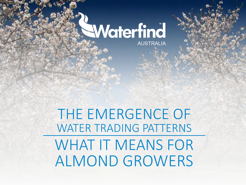# Waterfind

**AUSTRALIA** 

THE EMERGENCE OF WATER TRADING PATTERNS WHAT IT MEANS FOR ALMOND GROWERS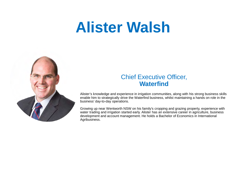## **Alister Walsh**



#### Chief Executive Officer, **Waterfind**

Alister's knowledge and experience in irrigation communities, along with his strong business skills enable him to strategically drive the Waterfind business, whilst maintaining a hands on role in the business' day-to-day operations.

Growing up near Wentworth NSW on his family's cropping and grazing property, experience with water trading and irrigation started early. Alister has an extensive career in agriculture, business development and account management. He holds a Bachelor of Economics in International Agribusiness.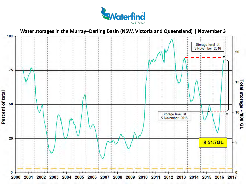

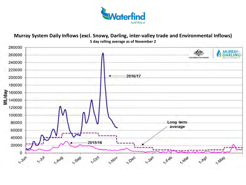

#### **Murray System Daily Inflows (excl. Snowy, Darling, inter-valley trade and Environmental Inflows) 5 day rolling average as of November 2**

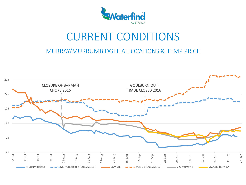

## CURRENT CONDITIONS

MURRAY/MURRUMBIDGEE ALLOCATIONS & TEMP PRICE

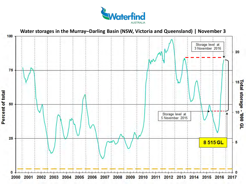

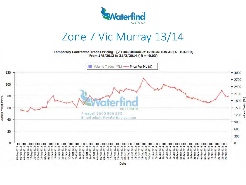

#### Zone 7 Vic Murray 13/14

Temporary Contracted Trades Pricing - [7 TORRUMBARRY IRRIGATION AREA - HIGH R] From  $1/8/2013$  to  $31/3/2014$  { R = -0.03}

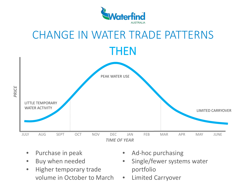



- Purchase in peak
- Buy when needed
- Higher temporary trade volume in October to March
- Ad-hoc purchasing
- Single/fewer systems water portfolio
- Limited Carryover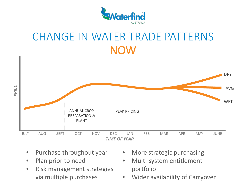

## CHANGE IN WATER TRADE PATTERNS NOW



- Purchase throughout year
- Plan prior to need
- Risk management strategies via multiple purchases
- More strategic purchasing
- Multi-system entitlement portfolio
- Wider availability of Carryover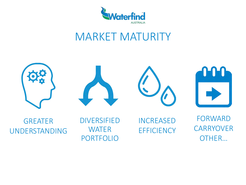

## MARKET MATURITY

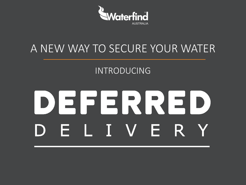

## A NEW WAY TO SECURE YOUR WATER

#### INTRODUCING

# DEERRED ELIVERY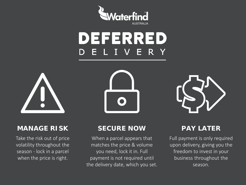

#### DEFERRED . I V E R Y



#### **MANAGE RISK SECURE NOW PAY LATER**

Take the risk out of price volatility throughout the season - lock in a parcel when the price is right.



When a parcel appears that matches the price & volume you need, lock it in. Full payment is not required until the delivery date, which you set.



Full payment is only required upon delivery, giving you the freedom to invest in your business throughout the season.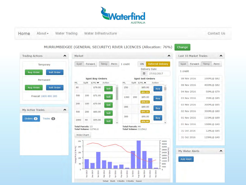

Home About -Water Trading Water Infrastructure Contact Us

Change

#### MURRUMBIDGEE (GENERAL SECURITY) RIVER LICENCES (Allocation: 76%)

| <b>Trading Actions</b>                            | $\hat{}$            | Market<br>$\hat{}$                                       |                   |                          |                                           |                         |                                                          |             |                                                    |                                                   | Last 10 Market Trades<br>$\hat{\phantom{a}}$ |                           |
|---------------------------------------------------|---------------------|----------------------------------------------------------|-------------------|--------------------------|-------------------------------------------|-------------------------|----------------------------------------------------------|-------------|----------------------------------------------------|---------------------------------------------------|----------------------------------------------|---------------------------|
| Temporary<br>Sell Order<br><b>Buy Order</b>       |                     | Spot                                                     |                   | Forward                  | Temp<br>Perm                              |                         | 1 credit                                                 |             | ON<br><b>Delivery Date</b><br>单<br>27/02/2017      | <b>Deferred Delivery</b>                          | Forward<br>Spot<br>1 credit                  | Temp<br>Perm              |
| Permanent                                         |                     | <b>Spot Buy Orders</b><br><b>Spot Sell Orders</b>        |                   |                          |                                           |                         |                                                          |             |                                                    |                                                   | 08 Nov 2016                                  | 100ML@ \$82               |
| Sell Order<br><b>Buy Order</b>                    |                     | <b>ML</b><br>80                                          |                   | Split \$/ML V<br>\$79.00 | Action<br>Sell                            |                         | <b>ML</b><br>250                                         |             | Split \$/ML∧<br>Action<br>\$85.00                  |                                                   | 08 Nov 2016                                  | 400ML@ \$82               |
|                                                   |                     |                                                          |                   |                          |                                           |                         |                                                          |             | <b>Buy</b><br>\$91.15                              |                                                   | 04 Nov 2016                                  | 50ML@ \$79                |
| Freecall 1800 890 285                             |                     | 500                                                      | 100               | \$71.00                  | Sell                                      |                         | 1360                                                     | 200         | \$85.00                                            | <b>Buy</b>                                        | 03 Nov 2016                                  | 35ML@ \$85                |
|                                                   |                     | 200                                                      | 100               | \$70.00                  | Sell                                      |                         | 300                                                      |             | \$90.65<br>\$89.00                                 | Buy                                               | 03 Nov 2016                                  | 300ML@ \$85               |
| My Active Trades<br>Trades <b>O</b><br>Orders (0) | $\hat{\phantom{a}}$ | 500                                                      | 200               | \$60.00                  | Sell                                      |                         |                                                          |             | \$95.35                                            |                                                   | 02 Nov 2016                                  | 300ML@ \$80               |
|                                                   |                     | 2000                                                     | 40                | \$55.00                  | Sell                                      | $\overline{\mathbf{v}}$ | 300                                                      |             | \$90.00<br>\$96.40                                 | <b>Buy</b>                                        | 01 Nov 2016                                  | 115ML@ \$89               |
|                                                   |                     | <b>Total Parcels: 13</b><br><b>Total Volume: 12741.0</b> |                   |                          |                                           |                         | <b>Total Parcels: 44</b><br><b>Total Volume: 11154.2</b> |             |                                                    |                                                   | 01 Nov 2016<br>31 Oct 2016                   | 108ML@ \$40<br>12ML@ \$85 |
|                                                   |                     |                                                          | <b>Hide Chart</b> |                          |                                           |                         |                                                          |             |                                                    |                                                   | 31 Oct 2016                                  | 129ML@ \$40               |
|                                                   |                     | 250<br>$\Xi$<br>200                                      |                   |                          |                                           |                         |                                                          |             |                                                    | 40000<br>36000<br>32000                           |                                              |                           |
|                                                   |                     | 150                                                      |                   |                          |                                           |                         |                                                          |             |                                                    | $28000 =$<br>$24000 - \frac{70}{6}$<br>20000<br>Æ | My Water Alerts                              | ^                         |
|                                                   |                     | Average Price (\$ Per<br>100<br>50                       |                   |                          |                                           |                         |                                                          |             |                                                    | Ë<br>16000<br>$12000 \frac{1}{5}$<br>8000         | <b>Add Alert</b>                             |                           |
|                                                   |                     | $\mathbf{0}$                                             | Nov-2015          | Dec-2015<br>$lan - 2016$ | $e^{b-2016}$<br>$ar - 2016$ .<br>Apr-2016 | $M$ ay-2016 -           | $J$ un-2016                                              | $Ju - 2016$ | Nov-2016 -<br>$Sep-2016$<br>$Oct-2016$<br>Aug-2016 | 4000<br>o.                                        |                                              |                           |
|                                                   |                     | Default Month 3 Months 6 Months<br>Season                |                   |                          |                                           |                         |                                                          |             |                                                    |                                                   |                                              |                           |